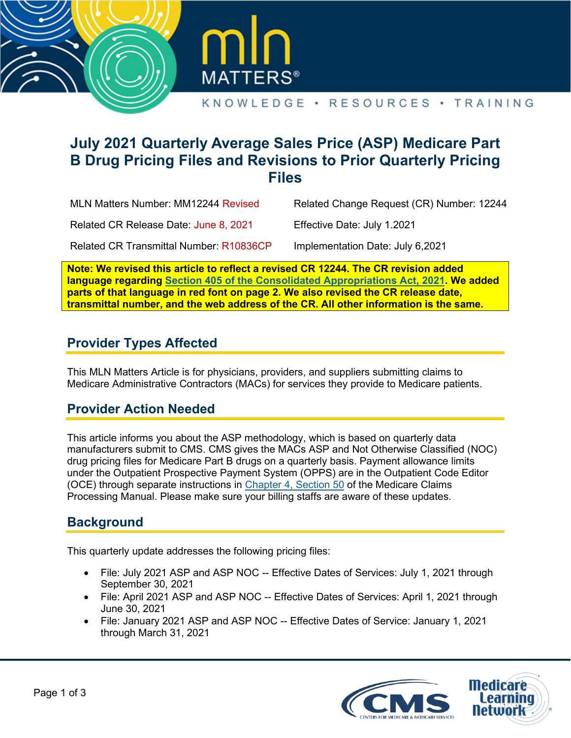



# **July 2021 Quarterly Average Sales Price (ASP) Medicare Part B Drug Pricing Files and Revisions to Prior Quarterly Pricing Files**

MLN Matters Number: MM12244 Revised

Related Change Request (CR) Number: 12244

Related CR Release Date: June 8, 2021

Related CR Transmittal Number: R10836CP

Implementation Date: July 6,2021

Effective Date: July 1.2021

**Note: We revised this article to reflect a revised CR 12244. The CR revision added language regarding Section 405 of [the Consolidated Appropriations Act, 2021](https://www.congress.gov/116/bills/hr133/BILLS-116hr133enr.pdf#page=1821). We added parts of that language in red font on page 2. We also revised the CR release date, transmittal number, and the web address of the CR. All other information is the same.** 

## **Provider Types Affected**

This MLN Matters Article is for physicians, providers, and suppliers submitting claims to Medicare Administrative Contractors (MACs) for services they provide to Medicare patients.

### **Provider Action Needed**

This article informs you about the ASP methodology, which is based on quarterly data manufacturers submit to CMS. CMS gives the MACs ASP and Not Otherwise Classified (NOC) drug pricing files for Medicare Part B drugs on a quarterly basis. Payment allowance limits under the Outpatient Prospective Payment System (OPPS) are in the Outpatient Code Editor (OCE) through separate instructions in [Chapter 4, Section 50](https://www.cms.gov/Regulations-and-Guidance/Guidance/Manuals/Downloads/clm104c04.pdf#page=84) of the Medicare Claims Processing Manual. Please make sure your billing staffs are aware of these updates.

# **Background**

This quarterly update addresses the following pricing files:

- File: July 2021 ASP and ASP NOC -- Effective Dates of Services: July 1, 2021 through September 30, 2021
- File: April 2021 ASP and ASP NOC -- Effective Dates of Services: April 1, 2021 through June 30, 2021
- File: January 2021 ASP and ASP NOC -- Effective Dates of Service: January 1, 2021 through March 31, 2021

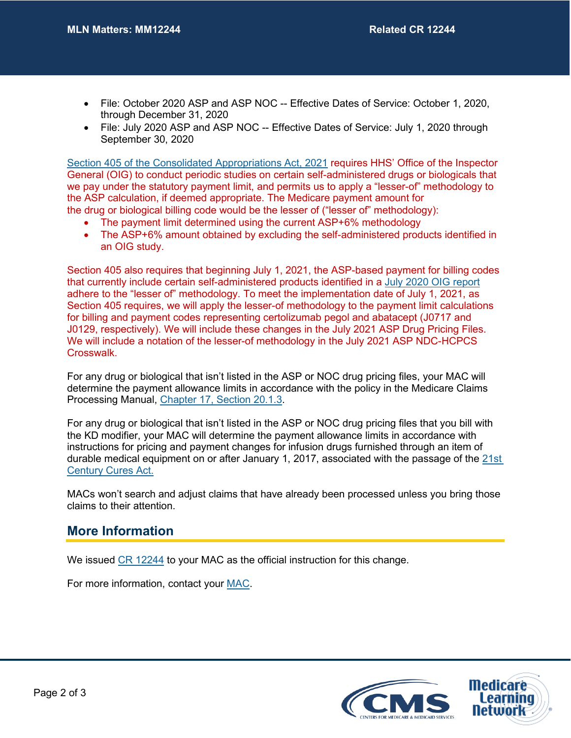- File: October 2020 ASP and ASP NOC -- Effective Dates of Service: October 1, 2020, through December 31, 2020
- File: July 2020 ASP and ASP NOC -- Effective Dates of Service: July 1, 2020 through September 30, 2020

[Section 405 of the Consolidated Appropriations Act, 2021](https://www.congress.gov/116/bills/hr133/BILLS-116hr133enr.pdf#page=1821) requires HHS' Office of the Inspector General (OIG) to conduct periodic studies on certain self-administered drugs or biologicals that we pay under the statutory payment limit, and permits us to apply a "lesser-of" methodology to the ASP calculation, if deemed appropriate. The Medicare payment amount for the drug or biological billing code would be the lesser of ("lesser of" methodology):

- The payment limit determined using the current ASP+6% methodology
- The ASP+6% amount obtained by excluding the self-administered products identified in an OIG study.

Section 405 also requires that beginning July 1, 2021, the ASP-based payment for billing codes that currently include certain self-administered products identified in a [July 2020 OIG report](https://oig.hhs.gov/oei/reports/OEI-BL-20-00100.asp) adhere to the "lesser of" methodology. To meet the implementation date of July 1, 2021, as Section 405 requires, we will apply the lesser-of methodology to the payment limit calculations for billing and payment codes representing certolizumab pegol and abatacept (J0717 and J0129, respectively). We will include these changes in the July 2021 ASP Drug Pricing Files. We will include a notation of the lesser-of methodology in the July 2021 ASP NDC-HCPCS Crosswalk.

For any drug or biological that isn't listed in the ASP or NOC drug pricing files, your MAC will determine the payment allowance limits in accordance with the policy in the Medicare Claims Processing Manual, [Chapter 17, Section 20.1.3.](https://www.cms.gov/Regulations-and-Guidance/Guidance/Manuals/Downloads/clm104c17.pdf#page=12)

For any drug or biological that isn't listed in the ASP or NOC drug pricing files that you bill with the KD modifier, your MAC will determine the payment allowance limits in accordance with instructions for pricing and payment changes for infusion drugs furnished through an item of durable medical equipment on or after January 1, 2017, associated with the passage of the [21st](https://www.congress.gov/bill/114th-congress/house-bill/34)  [Century Cures Act.](https://www.congress.gov/bill/114th-congress/house-bill/34)

MACs won't search and adjust claims that have already been processed unless you bring those claims to their attention.

### **More Information**

We issued [CR 12244](https://www.cms.gov/files/document/r10836cp.pdf) to your MAC as the official instruction for this change.

For more information, contact your [MAC.](http://go.cms.gov/MAC-website-list)